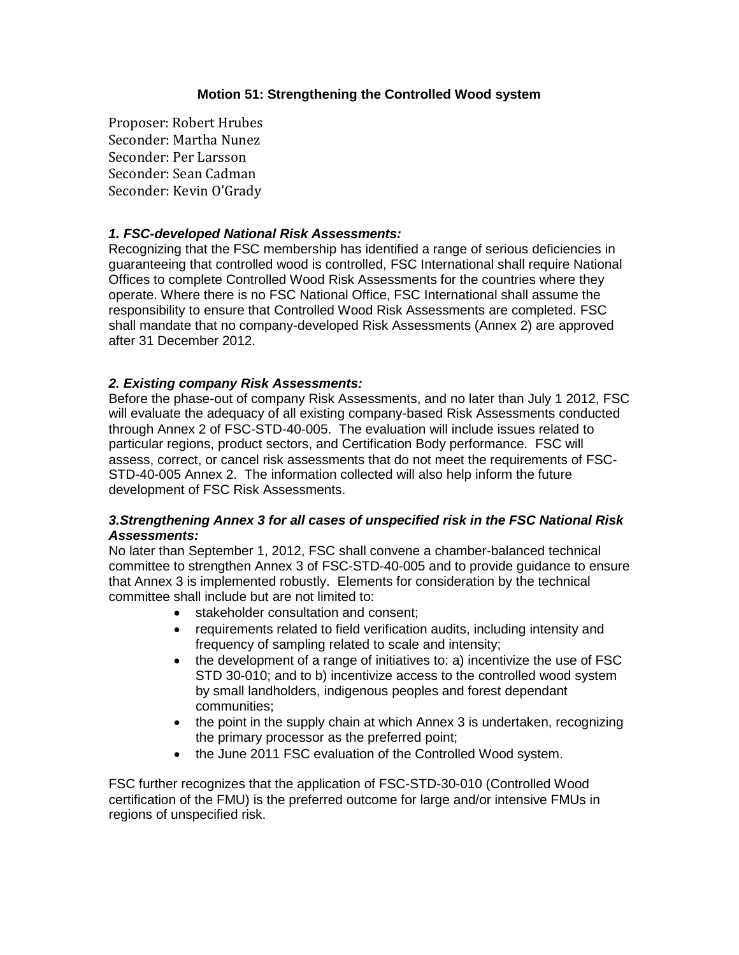## **Motion 51: Strengthening the Controlled Wood system**

Proposer: Robert Hrubes Seconder: Martha Nunez Seconder: Per Larsson Seconder: Sean Cadman Seconder: Kevin O'Grady

## *1. FSC-developed National Risk Assessments:*

Recognizing that the FSC membership has identified a range of serious deficiencies in guaranteeing that controlled wood is controlled, FSC International shall require National Offices to complete Controlled Wood Risk Assessments for the countries where they operate. Where there is no FSC National Office, FSC International shall assume the responsibility to ensure that Controlled Wood Risk Assessments are completed. FSC shall mandate that no company-developed Risk Assessments (Annex 2) are approved after 31 December 2012.

## *2. Existing company Risk Assessments:*

Before the phase-out of company Risk Assessments, and no later than July 1 2012, FSC will evaluate the adequacy of all existing company-based Risk Assessments conducted through Annex 2 of FSC-STD-40-005. The evaluation will include issues related to particular regions, product sectors, and Certification Body performance. FSC will assess, correct, or cancel risk assessments that do not meet the requirements of FSC-STD-40-005 Annex 2. The information collected will also help inform the future development of FSC Risk Assessments.

## *3.Strengthening Annex 3 for all cases of unspecified risk in the FSC National Risk Assessments:*

No later than September 1, 2012, FSC shall convene a chamber-balanced technical committee to strengthen Annex 3 of FSC-STD-40-005 and to provide guidance to ensure that Annex 3 is implemented robustly. Elements for consideration by the technical committee shall include but are not limited to:

- stakeholder consultation and consent;
- requirements related to field verification audits, including intensity and frequency of sampling related to scale and intensity;
- the development of a range of initiatives to: a) incentivize the use of FSC STD 30-010; and to b) incentivize access to the controlled wood system by small landholders, indigenous peoples and forest dependant communities;
- the point in the supply chain at which Annex 3 is undertaken, recognizing the primary processor as the preferred point;
- the June 2011 FSC evaluation of the Controlled Wood system.

FSC further recognizes that the application of FSC-STD-30-010 (Controlled Wood certification of the FMU) is the preferred outcome for large and/or intensive FMUs in regions of unspecified risk.